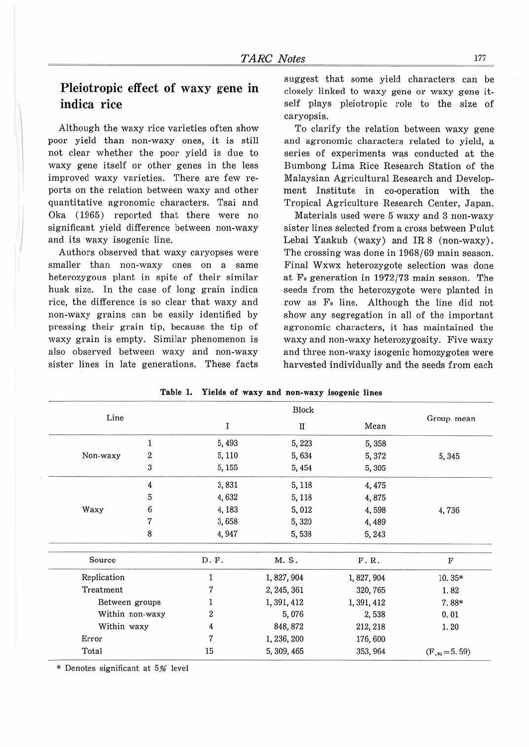## Pleiotropic effect of waxy gene in indica rice

Although the waxy rice varieties often show poor yield than non-waxy ones, it is still not clear whether the poor yield is due to waxy gene itself or other genes in the less improved waxy varieties. There are few reports on the relation between waxy and other quantitative agronomic characters. Tsai and Oka (1965) reported that there were no significant yield difference between non-waxy and its waxy isogenic line.

 $\frac{1}{2}$ 

I

Authors observed that waxy caryopses were smaller than non-waxy ones on a same heterozygous plant in spite of their similar husk size. In the case of long grain indica rice, the difference is so clear that waxy and non-waxy grains can be easily identified by pressing their grain tip, because the tip of waxy grain is empty. Similar phenomenon is also observed between waxy and non-waxy sister lines in late generations. These facts suggest that some yield characters can be closely linked to waxy gene or waxy gene itself plays pleiotropic role to the size of caryopsis.

To clarify the relation between waxy gene and agronomic characters related to yield, a series of experiments was conducted at the Bumbong Lima Rice Research Station of the Malaysian Agricultural Research and Development Institute in co-operation with the Tropical Agriculture Research Center, Japan.

Materials used were 5 waxy and 3 non-waxy sister lines selected from a cross between Pulut Lebai Yaakub (waxy) and IR 8 (non-waxy). The crossing was done in 1968/69 main season. Final Wxwx heterozygote selection was done at Fs generation in 1972/73 main season. The seeds from the heterozygote were planted in row as F<sub>2</sub> line. Although the line did not show any segregation in all of the important agronomic characters, it has maintained the waxy and non-waxy heterozygosity. Five waxy and three non-waxy isogenic homozygotes were harvested individually and the seeds from each

| Line            |                |        |                        |             |                    |  |
|-----------------|----------------|--------|------------------------|-------------|--------------------|--|
|                 |                | I      | $\rm I\hspace{-.1em}I$ | Mean        | Group mean         |  |
|                 | $\mathbf{1}$   | 5,493  | 5,223                  | 5,358       |                    |  |
| Non-waxy        | $\overline{2}$ | 5,110  | 5,634                  | 5,372       | 5, 345             |  |
|                 | $\sqrt{3}$     | 5, 155 | 5,454                  | 5,305       |                    |  |
|                 | $\overline{4}$ | 3,831  | 5, 118                 | 4,475       |                    |  |
|                 | 5              | 4,632  | 5, 118                 | 4,875       |                    |  |
| Waxy            | 6              | 4,183  | 5,012                  | 4,598       | 4,736              |  |
|                 | $\overline{7}$ | 3,658  | 5,320                  | 4,489       |                    |  |
|                 | 8              | 4,947  | 5,538                  | 5, 243      |                    |  |
| Source          |                | D. F.  | M. S.                  | F.R.        | $\mathbf F$        |  |
| Replication     |                |        | 1, 827, 904            | 1, 827, 904 | 10.35*             |  |
| Treatment       |                |        | 2, 245, 361            | 320, 765    | 1.82               |  |
| Between groups  |                |        | 1, 391, 412            | 1, 391, 412 | 7.88*              |  |
| Within non-waxy |                | 2      | 5,076                  | 2,538       | 0.01               |  |
| Within waxy     |                | 4      | 848, 872               | 212, 218    | 1.20               |  |
| Error<br>Total  |                | 7      | 1, 236, 200            | 176,600     | $(F_{.05} = 5.59)$ |  |
|                 |                | 15     | 5, 309, 465            | 353, 964    |                    |  |

**Table 1. Yields of waxy and non-waxy isogenic lines** 

\* Denotes significant at 5% level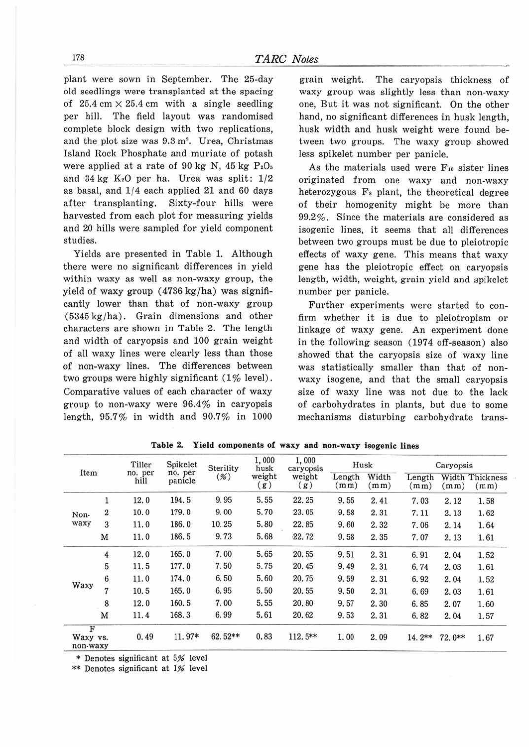plant were sown in September. The 25-day old seedlings were transplanted at the spacing of  $25.4 \text{ cm} \times 25.4 \text{ cm}$  with a single seedling per hill. The field layout was randomised complete block design with two replications, and the plot size was  $9.3 \text{ m}^2$ . Urea, Christmas Island Rock Phosphate and muriate of potash were applied at a rate of 90 kg N, 45 kg *PzO,*  and  $34 \text{ kg K}_2$ O per ha. Urea was split:  $1/2$ as basal, and 1/4 each applied 21 and 60 days after transplanting. Sixty-four hills were harvested from each plot for measuring yields and 20 hills were sampled for yield component studies.

Yields are presented in Table 1. Although there were no significant differences in yield within waxy as well as non-waxy group, the yield of waxy group ( 4736 kg/ha) was significantly lower than that of non-waxy group (5345 kg/ha). Grain dimensions and other characters are shown in Table 2. The length and width of caryopsis and 100 grain weight of all waxy lines were clearly less than those of non-waxy lines. The differences between two groups were highly significant  $(1\%$  level). Comparative values of each character of waxy group to non-waxy were 96.4% in caryopsis length, 95.7% in width and 90.7% in 1000

grain weight. The caryopsis thickness of waxy group was slightly less than non-waxy one, But it was not significant. On the other hand, no significant differences in husk length, husk width and husk weight were found between two groups. The waxy group showed Jess spikelet number per panicle.

As the materials used were Fio sister lines originated from one waxy and non-waxy heterozygous Fs plant, the theoretical degree of their homogenity might be more than 99.2%. Since the materials are considered as isogenic lines, it seems that all differences between two groups must be due to pleiotropic effects of waxy gene. This means that waxy gene has the pleiotropic effect on caryopsis length, width, weight, grain yield and spikelet number per panicle.

Further experiments were started to confirm whether it is due to pleiotropism or linkage of waxy gene. An experiment done in the following season (1974 off-season) also showed that the caryopsis size of waxy line was statistically smaller than that of nonwaxy isogene, and that the small caryopsis size of waxy line was not due to the lack of carbohydrates in plants, but due to some mechanisms disturbing carbohydrate trans-

| Item                      |                  | Tiller<br>no. per<br>hill | Spikelet<br>no. per<br>panicle | Sterility<br>(% ) | 1,000<br>husk<br>weight<br>(g) | 1,000<br>caryopsis<br>weight<br>(g) | Husk          |               | Caryopsis                   |        |                                |
|---------------------------|------------------|---------------------------|--------------------------------|-------------------|--------------------------------|-------------------------------------|---------------|---------------|-----------------------------|--------|--------------------------------|
|                           |                  |                           |                                |                   |                                |                                     | Length<br>mm) | Width<br>(mm) | Length<br>(m <sub>m</sub> ) | (mm)   | <b>Width Thickness</b><br>(mm) |
|                           | 1                | 12.0                      | 194.5                          | 9.95              | 5.55                           | 22.25                               | 9.55          | 2.41          | 7.03                        | 2.12   | 1.58                           |
| Non-<br>waxy              | $\boldsymbol{2}$ | 10.0                      | 179.0                          | 9.00              | 5.70                           | 23.05                               | 9.58          | 2.31          | 7.11                        | 2.13   | 1.62                           |
|                           | 3                | 11.0                      | 186.0                          | 10.25             | 5.80                           | 22.85                               | 9.60          | 2.32          | 7.06                        | 2.14   | 1.64                           |
|                           | M                | 11.0                      | 186.5                          | 9.73              | 5.68                           | 22.72                               | 9.58          | 2.35          | 7.07                        | 2.13   | 1.61                           |
| Waxy                      | $\overline{4}$   | 12.0                      | 165.0                          | 7.00              | 5.65                           | 20.55                               | 9.51          | 2.31          | 6.91                        | 2.04   | 1.52                           |
|                           | 5                | 11.5                      | 177.0                          | 7.50              | 5.75                           | 20.45                               | 9.49          | 2.31          | 6.74                        | 2.03   | 1.61                           |
|                           | $\boldsymbol{6}$ | 11.0                      | 174.0                          | 6.50              | 5.60                           | 20.75                               | 9.59          | 2.31          | 6.92                        | 2.04   | 1.52                           |
|                           | 7                | 10.5                      | 165.0                          | 6.95              | 5.50                           | 20.55                               | 9.50          | 2.31          | 6.69                        | 2.03   | 1.61                           |
|                           | 8                | 12.0                      | 160.5                          | 7.00              | 5.55                           | 20.80                               | 9.57          | 2.30          | 6.85                        | 2.07   | 1.60                           |
|                           | M                | 11.4                      | 168.3                          | 6.99              | 5.61                           | 20.62                               | 9.53          | 2.31          | 6.82                        | 2.04   | 1.57                           |
| F<br>Waxy vs.<br>non-waxy |                  | 0.49                      | 11.97*                         | 62.52**           | 0.83                           | $112.5**$                           | 1.00          | 2.09          | $14.2**$                    | 72.0** | 1.67                           |

**Table 2. Yield components of waxy and non-waxy isogenic lines** 

\* Denotes significant at 5% level

\*\* Denotes significant at 1% level